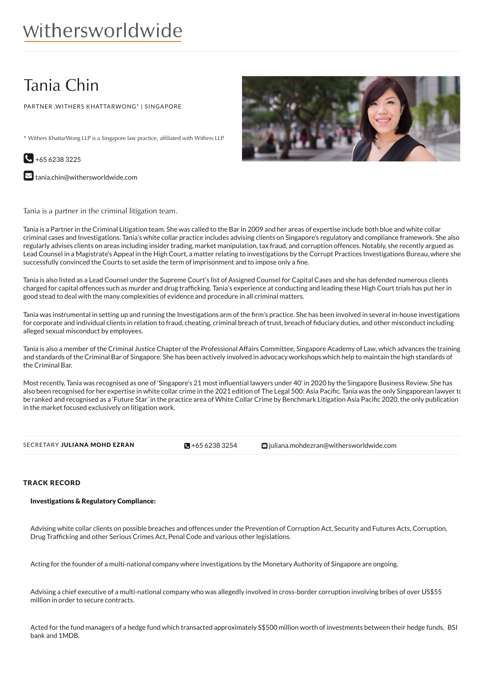# Tania Chin

PARTNER ,WITHERS KHATTARWONG\* | SINGAPORE

\* Withers KhattarWong LLP is a Singapore law practice, affiliated with Withers LLP.



 $\blacktriangleright$  [tania.chin@withersworldwide.com](mailto:tania.chin@withersworldwide.com?subject=Website Enquiry - Profile Page)

Tania is a partner in the criminal litigation team.

Tania is a Partner in the Criminal Litigation team. She was called to the Bar in 2009 and her areas of expertise include both blue and white collar criminal cases and Investigations. Tania's white collar practice includes advising clients on Singapore's regulatory and compliance framework. She also regularly advises clients on areas including insider trading, market manipulation, tax fraud, and corruption offences. Notably, she recently argued as Lead Counsel in a Magistrate's Appeal in the High Court, a matter relating to investigations by the Corrupt Practices Investigations Bureau, where she successfully convinced the Courts to set aside the term of imprisonment and to impose only a fine.

Tania is also listed as a Lead Counsel under the Supreme Court's list of Assigned Counsel for Capital Cases and she has defended numerous clients charged for capital offences such as murder and drug trafficking. Tania's experience at conducting and leading these High Court trials has put her in good stead to deal with the many complexities of evidence and procedure in all criminal matters.

Tania was instrumental in setting up and running the Investigations arm of the firm's practice. She has been involved in several in-house investigations for corporate and individual clients in relation to fraud, cheating, criminal breach of trust, breach of fiduciary duties, and other misconduct including alleged sexual misconduct by employees.

Tania is also a member of the Criminal Justice Chapter of the Professional Affairs Committee, Singapore Academy of Law, which advances the training and standards of the Criminal Bar of Singapore. She has been actively involved in advocacy workshops which help to maintain the high standards of the Criminal Bar.

Most recently, Tania was recognised as one of 'Singapore's 21 most in7uential lawyers under 40' in 2020 by the Singapore Business Review. She has also been recognised for her expertise in white collar crime in the 2021 edition of The Legal 500: Asia Pacific. Tania was the only Singaporean lawyer to be ranked and recognised as a 'Future Star' in the practice area of White Collar Crime by Benchmark Litigation Asia Pacific 2020, the only publication in the market focused exclusively on litigation work.

| SECRETARY JULIANA MOHD EZRAN | $\blacksquare$ +65 6238 3254 | $\blacksquare$ juliana.mohdezran@withersworldwide.com |
|------------------------------|------------------------------|-------------------------------------------------------|

# TRACK RECORD

## Investigations & Regulatory Compliance:

Advising white collar clients on possible breaches and offences under the Prevention of Corruption Act, Security and Futures Acts, Corruption, Drug Trafficking and other Serious Crimes Act, Penal Code and various other legislations.

Acting for the founder of a multi-national company where investigations by the Monetary Authority of Singapore are ongoing.

Advising a chief executive of a multi-national company who was allegedly involved in cross-border corruption involving bribes of over US\$55 million in order to secure contracts.

Acted for the fund managers of a hedge fund which transacted approximately S\$500 million worth of investments between their hedge funds, BSI bank and 1MDB.

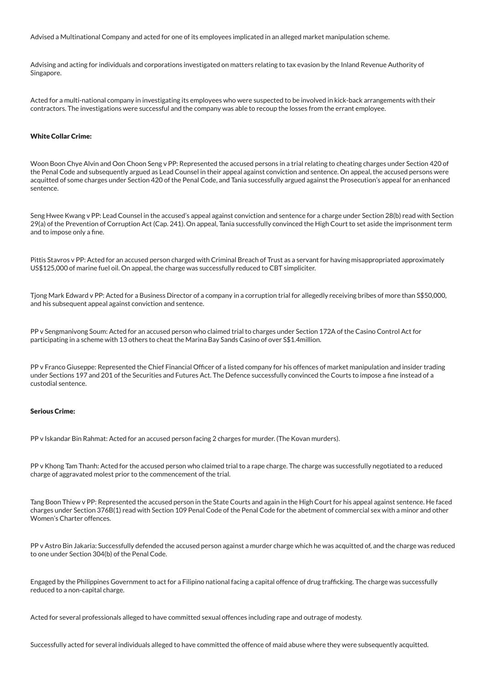Advised a Multinational Company and acted for one of its employees implicated in an alleged market manipulation scheme.

Advising and acting for individuals and corporations investigated on matters relating to tax evasion by the Inland Revenue Authority of Singapore.

Acted for a multi-national company in investigating its employees who were suspected to be involved in kick-back arrangements with their contractors. The investigations were successful and the company was able to recoup the losses from the errant employee.

#### White Collar Crime:

Woon Boon Chye Alvin and Oon Choon Seng v PP: Represented the accused persons in a trial relating to cheating charges under Section 420 of the Penal Code and subsequently argued as Lead Counsel in their appeal against conviction and sentence. On appeal, the accused persons were acquitted of some charges under Section 420 of the Penal Code, and Tania successfully argued against the Prosecution's appeal for an enhanced sentence.

Seng Hwee Kwang v PP: Lead Counsel in the accused's appeal against conviction and sentence for a charge under Section 28(b) read with Section 29(a) of the Prevention of Corruption Act (Cap. 241). On appeal, Tania successfully convinced the High Court to set aside the imprisonment term and to impose only a fine.

Pittis Stavros v PP: Acted for an accused person charged with Criminal Breach of Trust as a servant for having misappropriated approximately US\$125,000 of marine fuel oil. On appeal, the charge was successfully reduced to CBT simpliciter.

Tjong Mark Edward v PP: Acted for a Business Director of a company in a corruption trial for allegedly receiving bribes of more than S\$50,000, and his subsequent appeal against conviction and sentence.

PP v Sengmanivong Soum: Acted for an accused person who claimed trial to charges under Section 172A of the Casino Control Act for participating in a scheme with 13 others to cheat the Marina Bay Sands Casino of over S\$1.4million.

PP v Franco Giuseppe: Represented the Chief Financial Officer of a listed company for his offences of market manipulation and insider trading under Sections 197 and 201 of the Securities and Futures Act. The Defence successfully convinced the Courts to impose a fine instead of a custodial sentence.

#### Serious Crime:

PP v Iskandar Bin Rahmat: Acted for an accused person facing 2 charges for murder. (The Kovan murders).

PP v Khong Tam Thanh: Acted for the accused person who claimed trial to a rape charge. The charge was successfully negotiated to a reduced charge of aggravated molest prior to the commencement of the trial.

Tang Boon Thiew v PP: Represented the accused person in the State Courts and again in the High Court for his appeal against sentence. He faced charges under Section 376B(1) read with Section 109 Penal Code of the Penal Code for the abetment of commercial sex with a minor and other Women's Charter offences.

PP v Astro Bin Jakaria: Successfully defended the accused person against a murder charge which he was acquitted of, and the charge was reduced to one under Section 304(b) of the Penal Code.

Engaged by the Philippines Government to act for a Filipino national facing a capital offence of drug trafficking. The charge was successfully reduced to a non-capital charge.

Acted for several professionals alleged to have committed sexual offences including rape and outrage of modesty.

Successfully acted for several individuals alleged to have committed the offence of maid abuse where they were subsequently acquitted.